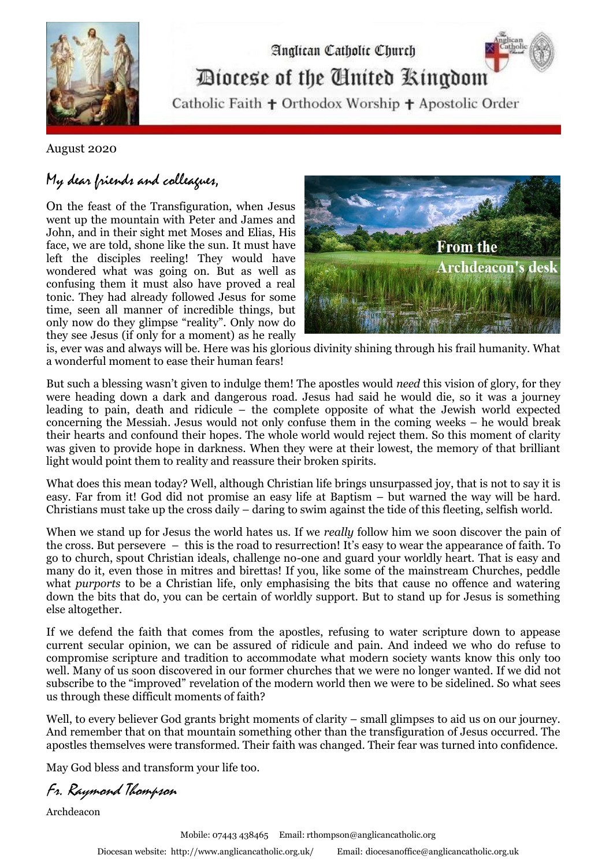

## Diocese of the United Kingdom

Analican Catholic Church

Catholic Faith + Orthodox Worship + Apostolic Order

## August 2020

## My dear friends and colleagues,

On the feast of the Transfiguration, when Jesus went up the mountain with Peter and James and John, and in their sight met Moses and Elias, His face, we are told, shone like the sun. It must have left the disciples reeling! They would have wondered what was going on. But as well as confusing them it must also have proved a real tonic. They had already followed Jesus for some time, seen all manner of incredible things, but only now do they glimpse "reality". Only now do they see Jesus (if only for a moment) as he really



is, ever was and always will be. Here was his glorious divinity shining through his frail humanity. What a wonderful moment to ease their human fears!

But such a blessing wasn't given to indulge them! The apostles would *need* this vision of glory, for they were heading down a dark and dangerous road. Jesus had said he would die, so it was a journey leading to pain, death and ridicule – the complete opposite of what the Jewish world expected concerning the Messiah. Jesus would not only confuse them in the coming weeks – he would break their hearts and confound their hopes. The whole world would reject them. So this moment of clarity was given to provide hope in darkness. When they were at their lowest, the memory of that brilliant light would point them to reality and reassure their broken spirits.

What does this mean today? Well, although Christian life brings unsurpassed joy, that is not to say it is easy. Far from it! God did not promise an easy life at Baptism – but warned the way will be hard. Christians must take up the cross daily – daring to swim against the tide of this fleeting, selfish world.

When we stand up for Jesus the world hates us. If we *really* follow him we soon discover the pain of the cross. But persevere – this is the road to resurrection! It's easy to wear the appearance of faith. To go to church, spout Christian ideals, challenge no-one and guard your worldly heart. That is easy and many do it, even those in mitres and birettas! If you, like some of the mainstream Churches, peddle what *purports* to be a Christian life, only emphasising the bits that cause no offence and watering down the bits that do, you can be certain of worldly support. But to stand up for Jesus is something else altogether.

If we defend the faith that comes from the apostles, refusing to water scripture down to appease current secular opinion, we can be assured of ridicule and pain. And indeed we who do refuse to compromise scripture and tradition to accommodate what modern society wants know this only too well. Many of us soon discovered in our former churches that we were no longer wanted. If we did not subscribe to the "improved" revelation of the modern world then we were to be sidelined. So what sees us through these difficult moments of faith?

Well, to every believer God grants bright moments of clarity – small glimpses to aid us on our journey. And remember that on that mountain something other than the transfiguration of Jesus occurred. The apostles themselves were transformed. Their faith was changed. Their fear was turned into confidence.

May God bless and transform your life too.

Fr. Raymond Thompson

Archdeacon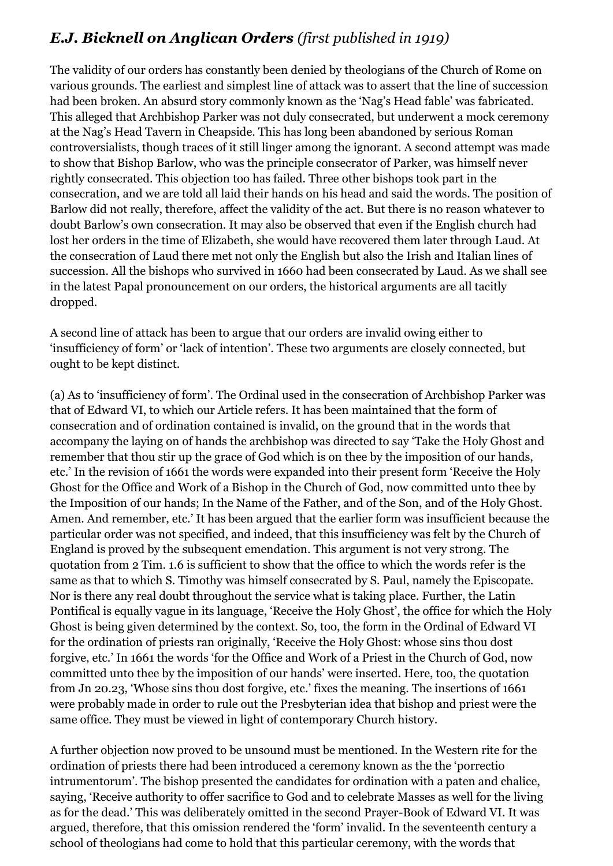## *E.J. Bicknell on Anglican Orders (first published in 1919)*

The validity of our orders has constantly been denied by theologians of the Church of Rome on various grounds. The earliest and simplest line of attack was to assert that the line of succession had been broken. An absurd story commonly known as the 'Nag's Head fable' was fabricated. This alleged that Archbishop Parker was not duly consecrated, but underwent a mock ceremony at the Nag's Head Tavern in Cheapside. This has long been abandoned by serious Roman controversialists, though traces of it still linger among the ignorant. A second attempt was made to show that Bishop Barlow, who was the principle consecrator of Parker, was himself never rightly consecrated. This objection too has failed. Three other bishops took part in the consecration, and we are told all laid their hands on his head and said the words. The position of Barlow did not really, therefore, affect the validity of the act. But there is no reason whatever to doubt Barlow's own consecration. It may also be observed that even if the English church had lost her orders in the time of Elizabeth, she would have recovered them later through Laud. At the consecration of Laud there met not only the English but also the Irish and Italian lines of succession. All the bishops who survived in 1660 had been consecrated by Laud. As we shall see in the latest Papal pronouncement on our orders, the historical arguments are all tacitly dropped.

A second line of attack has been to argue that our orders are invalid owing either to 'insufficiency of form' or 'lack of intention'. These two arguments are closely connected, but ought to be kept distinct.

(a) As to 'insufficiency of form'. The Ordinal used in the consecration of Archbishop Parker was that of Edward VI, to which our Article refers. It has been maintained that the form of consecration and of ordination contained is invalid, on the ground that in the words that accompany the laying on of hands the archbishop was directed to say 'Take the Holy Ghost and remember that thou stir up the grace of God which is on thee by the imposition of our hands, etc.' In the revision of 1661 the words were expanded into their present form 'Receive the Holy Ghost for the Office and Work of a Bishop in the Church of God, now committed unto thee by the Imposition of our hands; In the Name of the Father, and of the Son, and of the Holy Ghost. Amen. And remember, etc.' It has been argued that the earlier form was insufficient because the particular order was not specified, and indeed, that this insufficiency was felt by the Church of England is proved by the subsequent emendation. This argument is not very strong. The quotation from 2 Tim. 1.6 is sufficient to show that the office to which the words refer is the same as that to which S. Timothy was himself consecrated by S. Paul, namely the Episcopate. Nor is there any real doubt throughout the service what is taking place. Further, the Latin Pontifical is equally vague in its language, 'Receive the Holy Ghost', the office for which the Holy Ghost is being given determined by the context. So, too, the form in the Ordinal of Edward VI for the ordination of priests ran originally, 'Receive the Holy Ghost: whose sins thou dost forgive, etc.' In 1661 the words 'for the Office and Work of a Priest in the Church of God, now committed unto thee by the imposition of our hands' were inserted. Here, too, the quotation from Jn 20.23, 'Whose sins thou dost forgive, etc.' fixes the meaning. The insertions of 1661 were probably made in order to rule out the Presbyterian idea that bishop and priest were the same office. They must be viewed in light of contemporary Church history.

A further objection now proved to be unsound must be mentioned. In the Western rite for the ordination of priests there had been introduced a ceremony known as the the 'porrectio intrumentorum'. The bishop presented the candidates for ordination with a paten and chalice, saying, 'Receive authority to offer sacrifice to God and to celebrate Masses as well for the living as for the dead.' This was deliberately omitted in the second Prayer-Book of Edward VI. It was argued, therefore, that this omission rendered the 'form' invalid. In the seventeenth century a school of theologians had come to hold that this particular ceremony, with the words that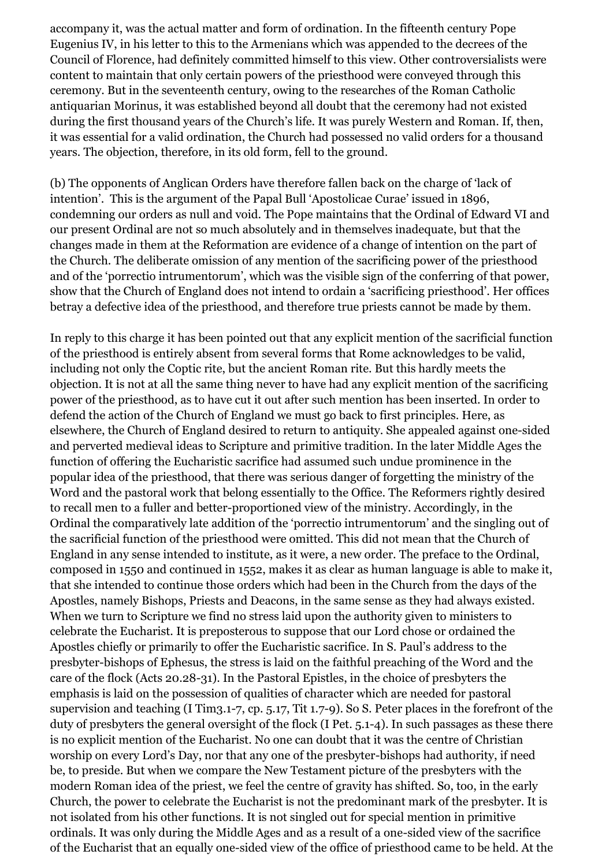accompany it, was the actual matter and form of ordination. In the fifteenth century Pope Eugenius IV, in his letter to this to the Armenians which was appended to the decrees of the Council of Florence, had definitely committed himself to this view. Other controversialists were content to maintain that only certain powers of the priesthood were conveyed through this ceremony. But in the seventeenth century, owing to the researches of the Roman Catholic antiquarian Morinus, it was established beyond all doubt that the ceremony had not existed during the first thousand years of the Church's life. It was purely Western and Roman. If, then, it was essential for a valid ordination, the Church had possessed no valid orders for a thousand years. The objection, therefore, in its old form, fell to the ground.

(b) The opponents of Anglican Orders have therefore fallen back on the charge of 'lack of intention'. This is the argument of the Papal Bull 'Apostolicae Curae' issued in 1896, condemning our orders as null and void. The Pope maintains that the Ordinal of Edward VI and our present Ordinal are not so much absolutely and in themselves inadequate, but that the changes made in them at the Reformation are evidence of a change of intention on the part of the Church. The deliberate omission of any mention of the sacrificing power of the priesthood and of the 'porrectio intrumentorum', which was the visible sign of the conferring of that power, show that the Church of England does not intend to ordain a 'sacrificing priesthood'. Her offices betray a defective idea of the priesthood, and therefore true priests cannot be made by them.

In reply to this charge it has been pointed out that any explicit mention of the sacrificial function of the priesthood is entirely absent from several forms that Rome acknowledges to be valid, including not only the Coptic rite, but the ancient Roman rite. But this hardly meets the objection. It is not at all the same thing never to have had any explicit mention of the sacrificing power of the priesthood, as to have cut it out after such mention has been inserted. In order to defend the action of the Church of England we must go back to first principles. Here, as elsewhere, the Church of England desired to return to antiquity. She appealed against one-sided and perverted medieval ideas to Scripture and primitive tradition. In the later Middle Ages the function of offering the Eucharistic sacrifice had assumed such undue prominence in the popular idea of the priesthood, that there was serious danger of forgetting the ministry of the Word and the pastoral work that belong essentially to the Office. The Reformers rightly desired to recall men to a fuller and better-proportioned view of the ministry. Accordingly, in the Ordinal the comparatively late addition of the 'porrectio intrumentorum' and the singling out of the sacrificial function of the priesthood were omitted. This did not mean that the Church of England in any sense intended to institute, as it were, a new order. The preface to the Ordinal, composed in 1550 and continued in 1552, makes it as clear as human language is able to make it, that she intended to continue those orders which had been in the Church from the days of the Apostles, namely Bishops, Priests and Deacons, in the same sense as they had always existed. When we turn to Scripture we find no stress laid upon the authority given to ministers to celebrate the Eucharist. It is preposterous to suppose that our Lord chose or ordained the Apostles chiefly or primarily to offer the Eucharistic sacrifice. In S. Paul's address to the presbyter-bishops of Ephesus, the stress is laid on the faithful preaching of the Word and the care of the flock (Acts 20.28-31). In the Pastoral Epistles, in the choice of presbyters the emphasis is laid on the possession of qualities of character which are needed for pastoral supervision and teaching (I Tim3.1-7, cp. 5.17, Tit 1.7-9). So S. Peter places in the forefront of the duty of presbyters the general oversight of the flock (I Pet. 5.1-4). In such passages as these there is no explicit mention of the Eucharist. No one can doubt that it was the centre of Christian worship on every Lord's Day, nor that any one of the presbyter-bishops had authority, if need be, to preside. But when we compare the New Testament picture of the presbyters with the modern Roman idea of the priest, we feel the centre of gravity has shifted. So, too, in the early Church, the power to celebrate the Eucharist is not the predominant mark of the presbyter. It is not isolated from his other functions. It is not singled out for special mention in primitive ordinals. It was only during the Middle Ages and as a result of a one-sided view of the sacrifice of the Eucharist that an equally one-sided view of the office of priesthood came to be held. At the